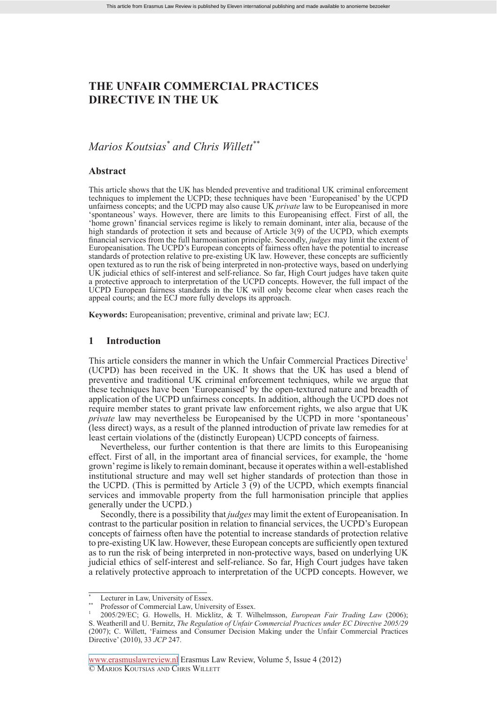# **THE UNFAIR COMMERCIAL PRACTICES DIRECTIVE IN THE UK**

# *Marios Koutsias\* and Chris Willett\*\**

## **Abstract**

This article shows that the UK has blended preventive and traditional UK criminal enforcement techniques to implement the UCPD; these techniques have been 'Europeanised' by the UCPD unfairness concepts; and the UCPD may also cause UK *private* law to be Europeanised in more 'spontaneous' ways. However, there are limits to this Europeanising effect. First of all, the 'home grown' financial services regime is likely to remain dominant, inter alia, because of the high standards of protection it sets and because of Article 3(9) of the UCPD, which exempts financial services from the full harmonisation principle. Secondly, *judges* may limit the extent of Europeanisation. The UCPD's European concepts of fairness often have the potential to increase standards of protection relative to pre-existing UK law. However, these concepts are sufficiently open textured as to run the risk of being interpreted in non-protective ways, based on underlying UK judicial ethics of self-interest and self-reliance. So far, High Court judges have taken quite a protective approach to interpretation of the UCPD concepts. However, the full impact of the UCPD European fairness standards in the UK will only become clear when cases reach the appeal courts; and the ECJ more fully develops its approach.

**Keywords:** Europeanisation; preventive, criminal and private law; ECJ.

#### **1 Introduction**

This article considers the manner in which the Unfair Commercial Practices Directive<sup>1</sup> (UCPD) has been received in the UK. It shows that the UK has used a blend of preventive and traditional UK criminal enforcement techniques, while we argue that these techniques have been 'Europeanised' by the open-textured nature and breadth of application of the UCPD unfairness concepts. In addition, although the UCPD does not require member states to grant private law enforcement rights, we also argue that UK *private* law may nevertheless be Europeanised by the UCPD in more 'spontaneous' (less direct) ways, as a result of the planned introduction of private law remedies for at least certain violations of the (distinctly European) UCPD concepts of fairness.

Nevertheless, our further contention is that there are limits to this Europeanising effect. First of all, in the important area of financial services, for example, the 'home grown' regime is likely to remain dominant, because it operates within a well-established institutional structure and may well set higher standards of protection than those in the UCPD. (This is permitted by Article 3  $(9)$  of the UCPD, which exempts financial services and immovable property from the full harmonisation principle that applies generally under the UCPD.)

Secondly, there is a possibility that *judges* may limit the extent of Europeanisation. In contrast to the particular position in relation to financial services, the UCPD's European concepts of fairness often have the potential to increase standards of protection relative to pre-existing UK law. However, these European concepts are sufficiently open textured as to run the risk of being interpreted in non-protective ways, based on underlying UK judicial ethics of self-interest and self-reliance. So far, High Court judges have taken a relatively protective approach to interpretation of the UCPD concepts. However, we

Lecturer in Law, University of Essex.

Professor of Commercial Law, University of Essex.

<sup>1</sup> 2005/29/EC; G. Howells, H. Micklitz, & T. Wilhelmsson, *European Fair Trading Law* (2006); S. Weatherill and U. Bernitz, *The Regulation of Unfair Commercial Practices under EC Directive 2005/29*  (2007); C. Willett, 'Fairness and Consumer Decision Making under the Unfair Commercial Practices Directive' (2010), 33 *JCP* 247.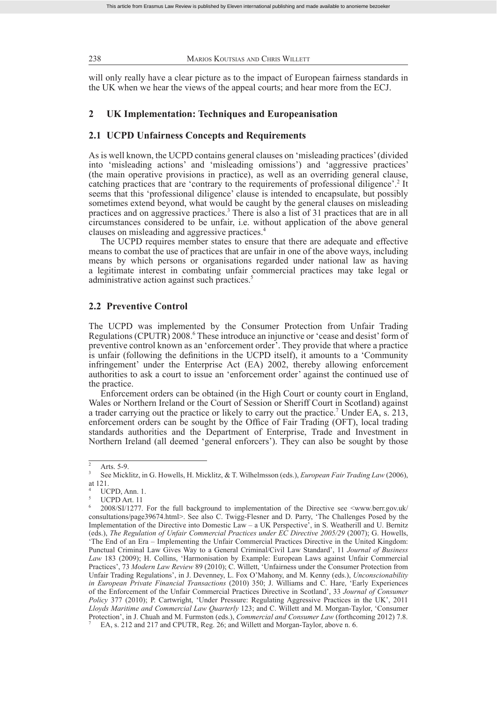238 MARIOS KOUTSIAS AND CHRIS WILLETT

will only really have a clear picture as to the impact of European fairness standards in the UK when we hear the views of the appeal courts; and hear more from the ECJ.

## **2 UK Implementation: Techniques and Europeanisation**

#### **2.1 UCPD Unfairness Concepts and Requirements**

As is well known, the UCPD contains general clauses on 'misleading practices' (divided into 'misleading actions' and 'misleading omissions') and 'aggressive practices' (the main operative provisions in practice), as well as an overriding general clause, catching practices that are 'contrary to the requirements of professional diligence'.<sup>2</sup> It seems that this 'professional diligence' clause is intended to encapsulate, but possibly sometimes extend beyond, what would be caught by the general clauses on misleading practices and on aggressive practices.<sup>3</sup> There is also a list of 31 practices that are in all circumstances considered to be unfair, i.e. without application of the above general clauses on misleading and aggressive practices.4

The UCPD requires member states to ensure that there are adequate and effective means to combat the use of practices that are unfair in one of the above ways, including means by which persons or organisations regarded under national law as having a legitimate interest in combating unfair commercial practices may take legal or administrative action against such practices.<sup>5</sup>

#### **2.2 Preventive Control**

The UCPD was implemented by the Consumer Protection from Unfair Trading Regulations (CPUTR) 2008.<sup>6</sup> These introduce an injunctive or 'cease and desist' form of preventive control known as an 'enforcement order'. They provide that where a practice is unfair (following the definitions in the UCPD itself), it amounts to a 'Community infringement' under the Enterprise Act (EA) 2002, thereby allowing enforcement authorities to ask a court to issue an 'enforcement order' against the continued use of the practice.

Enforcement orders can be obtained (in the High Court or county court in England, Wales or Northern Ireland or the Court of Session or Sheriff Court in Scotland) against a trader carrying out the practice or likely to carry out the practice.<sup>7</sup> Under EA, s. 213, enforcement orders can be sought by the Office of Fair Trading (OFT), local trading standards authorities and the Department of Enterprise, Trade and Investment in Northern Ireland (all deemed 'general enforcers'). They can also be sought by those

<sup>&</sup>lt;sup>2</sup> Arts  $5-9$ .

<sup>3</sup> See Micklitz, in G. Howells, H. Micklitz, & T. Wilhelmsson (eds.), *European Fair Trading Law* (2006), at 121.

UCPD, Ann. 1.

 $^{5}$  UCPD Art. 11

<sup>2008/</sup>SI/1277. For the full background to implementation of the Directive see  $\leq$ [www.berr.gov.uk/](http://www.berr.gov.uk/consultations/page39674.html) [consultations/page39674.html>](http://www.berr.gov.uk/consultations/page39674.html). See also C. Twigg-Flesner and D. Parry, 'The Challenges Posed by the Implementation of the Directive into Domestic Law – a UK Perspective', in S. Weatherill and U. Bernitz (eds.), *The Regulation of Unfair Commercial Practices under EC Directive 2005/29* (2007); G. Howells, 'The End of an Era – Implementing the Unfair Commercial Practices Directive in the United Kingdom: Punctual Criminal Law Gives Way to a General Criminal/Civil Law Standard', 11 *Journal of Business Law* 183 (2009); H. Collins, 'Harmonisation by Example: European Laws against Unfair Commercial Practices', 73 *Modern Law Review* 89 (2010); C. Willett, 'Unfairness under the Consumer Protection from Unfair Trading Regulations', in J. Devenney, L. Fox O'Mahony, and M. Kenny (eds.), *Unconscionability in European Private Financial Transactions* (2010) 350; J. Williams and C. Hare, 'Early Experiences of the Enforcement of the Unfair Commercial Practices Directive in Scotland', 33 *Journal of Consumer Policy* 377 (2010); P. Cartwright, 'Under Pressure: Regulating Aggressive Practices in the UK', 2011 *Lloyds Maritime and Commercial Law Quarterly* 123; and C. Willett and M. Morgan-Taylor, 'Consumer Protection', in J. Chuah and M. Furmston (eds.), *Commercial and Consumer Law* (forthcoming 2012) 7.8. EA, s. 212 and 217 and CPUTR, Reg. 26; and Willett and Morgan-Taylor, above n. 6.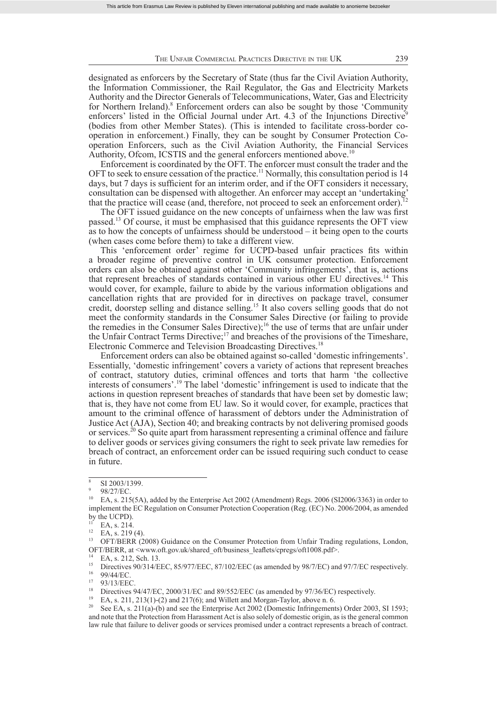designated as enforcers by the Secretary of State (thus far the Civil Aviation Authority, the Information Commissioner, the Rail Regulator, the Gas and Electricity Markets Authority and the Director Generals of Telecommunications, Water, Gas and Electricity for Northern Ireland).<sup>8</sup> Enforcement orders can also be sought by those 'Community enforcers' listed in the Official Journal under Art. 4.3 of the Injunctions Directive<sup>9</sup> (bodies from other Member States). (This is intended to facilitate cross-border cooperation in enforcement.) Finally, they can be sought by Consumer Protection Cooperation Enforcers, such as the Civil Aviation Authority, the Financial Services Authority, Ofcom, ICSTIS and the general enforcers mentioned above.<sup>10</sup>

Enforcement is coordinated by the OFT. The enforcer must consult the trader and the OFT to seek to ensure cessation of the practice.<sup>11</sup> Normally, this consultation period is 14 days, but 7 days is sufficient for an interim order, and if the OFT considers it necessary, consultation can be dispensed with altogether. An enforcer may accept an 'undertaking' that the practice will cease (and, therefore, not proceed to seek an enforcement order).<sup>12</sup>

The OFT issued guidance on the new concepts of unfairness when the law was first passed.13 Of course, it must be emphasised that this guidance represents the OFT view as to how the concepts of unfairness should be understood – it being open to the courts (when cases come before them) to take a different view.

This 'enforcement order' regime for UCPD-based unfair practices fits within a broader regime of preventive control in UK consumer protection. Enforcement orders can also be obtained against other 'Community infringements', that is, actions that represent breaches of standards contained in various other EU directives.14 This would cover, for example, failure to abide by the various information obligations and cancellation rights that are provided for in directives on package travel, consumer credit, doorstep selling and distance selling.15 It also covers selling goods that do not meet the conformity standards in the Consumer Sales Directive (or failing to provide the remedies in the Consumer Sales Directive);<sup>16</sup> the use of terms that are unfair under the Unfair Contract Terms Directive;<sup>17</sup> and breaches of the provisions of the Timeshare, Electronic Commerce and Television Broadcasting Directives.<sup>18</sup>

Enforcement orders can also be obtained against so-called 'domestic infringements'. Essentially, 'domestic infringement' covers a variety of actions that represent breaches of contract, statutory duties, criminal offences and torts that harm 'the collective interests of consumers'.19 The label 'domestic' infringement is used to indicate that the actions in question represent breaches of standards that have been set by domestic law; that is, they have not come from EU law. So it would cover, for example, practices that amount to the criminal offence of harassment of debtors under the Administration of Justice Act (AJA), Section 40; and breaking contracts by not delivering promised goods or services.<sup>20</sup> So quite apart from harassment representing a criminal offence and failure to deliver goods or services giving consumers the right to seek private law remedies for breach of contract, an enforcement order can be issued requiring such conduct to cease in future.

 $\overline{\text{S} = \text{S}1\,2003/1399}$ .

 $^{9}$  98/27/EC.

<sup>10</sup> EA, s. 215(5A), added by the Enterprise Act 2002 (Amendment) Regs. 2006 (SI2006/3363) in order to implement the EC Regulation on Consumer Protection Cooperation (Reg. (EC) No. 2006/2004, as amended by the UCPD).

 $\frac{11}{12}$  EA, s. 214.

<sup>&</sup>lt;sup>12</sup> EA, s. 219 (4).

<sup>13</sup> OFT/BERR (2008) Guidance on the Consumer Protection from Unfair Trading regulations, London, OFT/BERR, at <[www.oft.gov.uk/shared\\_oft/business\\_leaflets/cpregs/oft1008.pdf](http://www.oft.gov.uk/shared_oft/business_leaflets/cpregs/oft1008.pdf)>.

<sup>&</sup>lt;sup>14</sup> EA, s. 212, Sch. 13.

<sup>&</sup>lt;sup>15</sup> Directives 90/314/EEC, 85/977/EEC, 87/102/EEC (as amended by 98/7/EC) and 97/7/EC respectively.

 $^{16}$  99/44/EC.

 $^{17}$  93/13/EEC.

<sup>&</sup>lt;sup>18</sup> Directives 94/47/EC, 2000/31/EC and 89/552/EEC (as amended by 97/36/EC) respectively.

<sup>&</sup>lt;sup>19</sup> EA, s. 211, 213(1)-(2) and 217(6); and Willett and Morgan-Taylor, above n. 6.<br><sup>20</sup> See EA, s. 211(e) (b) and see the Enterprise Act 2002 (Demosite Infrincement

<sup>20</sup> See EA, s. 211(a)-(b) and see the Enterprise Act 2002 (Domestic Infringements) Order 2003, SI 1593; and note that the Protection from Harassment Act is also solely of domestic origin, as is the general common law rule that failure to deliver goods or services promised under a contract represents a breach of contract.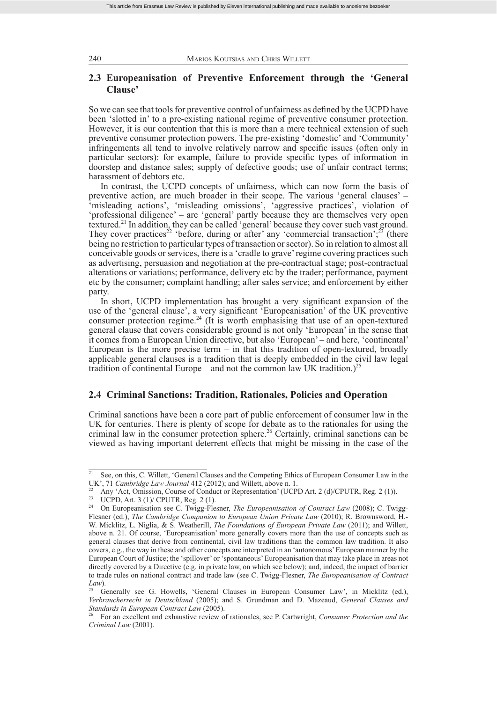# **2.3 Europeanisation of Preventive Enforcement through the 'General Clause'**

So we can see that tools for preventive control of unfairness as defined by the UCPD have been 'slotted in' to a pre-existing national regime of preventive consumer protection. However, it is our contention that this is more than a mere technical extension of such preventive consumer protection powers. The pre-existing 'domestic' and 'Community' infringements all tend to involve relatively narrow and specific issues (often only in particular sectors): for example, failure to provide specific types of information in doorstep and distance sales; supply of defective goods; use of unfair contract terms; harassment of debtors etc.

In contrast, the UCPD concepts of unfairness, which can now form the basis of preventive action, are much broader in their scope. The various 'general clauses' – 'misleading actions', 'misleading omissions', 'aggressive practices', violation of 'professional diligence' – are 'general' partly because they are themselves very open textured.21 In addition, they can be called 'general' because they cover such vast ground. They cover practices<sup>22</sup> 'before, during or after' any 'commercial transaction';<sup>23</sup> (there being no restriction to particular types of transaction or sector). So in relation to almost all conceivable goods or services, there is a 'cradle to grave' regime covering practices such as advertising, persuasion and negotiation at the pre-contractual stage; post-contractual alterations or variations; performance, delivery etc by the trader; performance, payment etc by the consumer; complaint handling; after sales service; and enforcement by either party.

In short, UCPD implementation has brought a very significant expansion of the use of the 'general clause', a very significant 'Europeanisation' of the UK preventive consumer protection regime.<sup>24</sup> (It is worth emphasising that use of an open-textured general clause that covers considerable ground is not only 'European' in the sense that it comes from a European Union directive, but also 'European' – and here, 'continental' European is the more precise term – in that this tradition of open-textured, broadly applicable general clauses is a tradition that is deeply embedded in the civil law legal tradition of continental Europe – and not the common law UK tradition.)<sup>25</sup>

## **2.4 Criminal Sanctions: Tradition, Rationales, Policies and Operation**

Criminal sanctions have been a core part of public enforcement of consumer law in the UK for centuries. There is plenty of scope for debate as to the rationales for using the criminal law in the consumer protection sphere.<sup>26</sup> Certainly, criminal sanctions can be viewed as having important deterrent effects that might be missing in the case of the

 $\frac{21}{21}$  See, on this, C. Willett, 'General Clauses and the Competing Ethics of European Consumer Law in the UK', 71 *Cambridge Law Journal* 412 (2012); and Willett, above n. 1.

<sup>&</sup>lt;sup>22</sup> Any 'Act, Omission, Course of Conduct or Representation' (UCPD Art. 2 (d)/CPUTR, Reg. 2 (1)).

<sup>23</sup> UCPD, Art. 3 (1)/ CPUTR, Reg. 2 (1).

<sup>&</sup>lt;sup>24</sup> On Europeanisation see C. Twigg-Flesner, *The Europeanisation of Contract Law* (2008); C. Twigg-Flesner (ed.), *The Cambridge Companion to European Union Private Law* (2010); R. Brownsword, H.- W. Micklitz, L. Niglia, & S. Weatherill, *The Foundations of European Private Law* (2011); and Willett, above n. 21. Of course, 'Europeanisation' more generally covers more than the use of concepts such as general clauses that derive from continental, civil law traditions than the common law tradition. It also covers, e.g., the way in these and other concepts are interpreted in an 'autonomous' European manner by the European Court of Justice; the 'spillover' or 'spontaneous' Europeanisation that may take place in areas not directly covered by a Directive (e.g. in private law, on which see below); and, indeed, the impact of barrier to trade rules on national contract and trade law (see C. Twigg-Flesner, *The Europeanisation of Contract Law*).

<sup>&</sup>lt;sup>25</sup> Generally see G. Howells, 'General Clauses in European Consumer Law', in Micklitz (ed.), *Verbraucherrecht in Deutschland* (2005); and S. Grundman and D. Mazeaud, *General Clauses and Standards in European Contract Law* (2005).

<sup>26</sup> For an excellent and exhaustive review of rationales, see P. Cartwright, *Consumer Protection and the Criminal Law* (2001).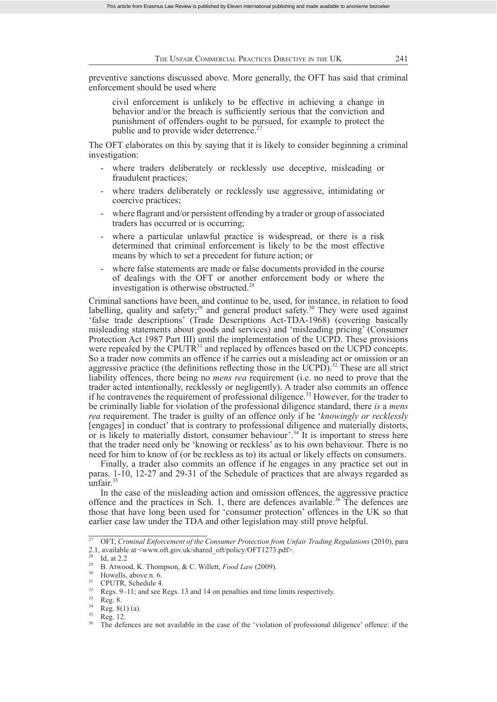preventive sanctions discussed above. More generally, the OFT has said that criminal enforcement should be used where

civil enforcement is unlikely to be effective in achieving a change in behavior and/or the breach is sufficiently serious that the conviction and punishment of offenders ought to be pursued, for example to protect the public and to provide wider deterrence.<sup>27</sup>

The OFT elaborates on this by saying that it is likely to consider beginning a criminal investigation:

- where traders deliberately or recklessly use deceptive, misleading or fraudulent practices;
- where traders deliberately or recklessly use aggressive, intimidating or coercive practices;
- where flagrant and/or persistent offending by a trader or group of associated traders has occurred or is occurring;
- where a particular unlawful practice is widespread, or there is a risk determined that criminal enforcement is likely to be the most effective means by which to set a precedent for future action; or
- where false statements are made or false documents provided in the course of dealings with the OFT or another enforcement body or where the investigation is otherwise obstructed.<sup>28</sup>

Criminal sanctions have been, and continue to be, used, for instance, in relation to food labelling, quality and safety; $^{29}$  and general product safety.<sup>30</sup> They were used against 'false trade descriptions' (Trade Descriptions Act-TDA-1968) (covering basically misleading statements about goods and services) and 'misleading pricing' (Consumer Protection Act 1987 Part III) until the implementation of the UCPD. These provisions were repealed by the CPUTR<sup>31</sup> and replaced by offences based on the UCPD concepts. So a trader now commits an offence if he carries out a misleading act or omission or an aggressive practice (the definitions reflecting those in the UCPD).<sup>32</sup> These are all strict liability offences, there being no *mens rea* requirement (i.e. no need to prove that the trader acted intentionally, recklessly or negligently). A trader also commits an offence if he contravenes the requirement of professional diligence.<sup>33</sup> However, for the trader to be criminally liable for violation of the professional diligence standard, there *is* a *mens rea* requirement. The trader is guilty of an offence only if he '*knowingly or recklessly* [engages] in conduct' that is contrary to professional diligence and materially distorts, or is likely to materially distort, consumer behaviour'.<sup>34</sup> It is important to stress here that the trader need only be 'knowing or reckless' as to his own behaviour. There is no need for him to know of (or be reckless as to) its actual or likely effects on consumers.

Finally, a trader also commits an offence if he engages in any practice set out in paras. 1-10, 12-27 and 29-31 of the Schedule of practices that are always regarded as unfair.<sup>35</sup>

In the case of the misleading action and omission offences, the aggressive practice offence and the practices in Sch. 1, there are defences available.<sup>36</sup> The defences are those that have long been used for 'consumer protection' offences in the UK so that earlier case law under the TDA and other legislation may still prove helpful.

<sup>27</sup> OFT, *Criminal Enforcement of the Consumer Protection from Unfair Trading Regulations* (2010), para 2.1, available at [<www.oft.gov.uk/shared\\_oft/policy/OFT1273.pdf](http://www.oft.gov.uk/shared_oft/policy/OFT1273.pdf)>.

<sup>&</sup>lt;sup>28</sup> Id, at 2.2

<sup>&</sup>lt;sup>29</sup> B. Atwood, K. Thompson, & C. Willett, *Food Law* (2009).

 $30$  Howells, above n. 6.<br> $31$  CDUTD, Schodule 4.

 $^{31}$  CPUTR, Schedule 4.

 $^{32}$  Regs. 9–11; and see Regs. 13 and 14 on penalties and time limits respectively.

 $^{33}$  Reg. 8.

 $rac{34}{35}$  Reg. 8(1) (a).

 $rac{35}{36}$  Reg. 12.

The defences are not available in the case of the 'violation of professional diligence' offence: if the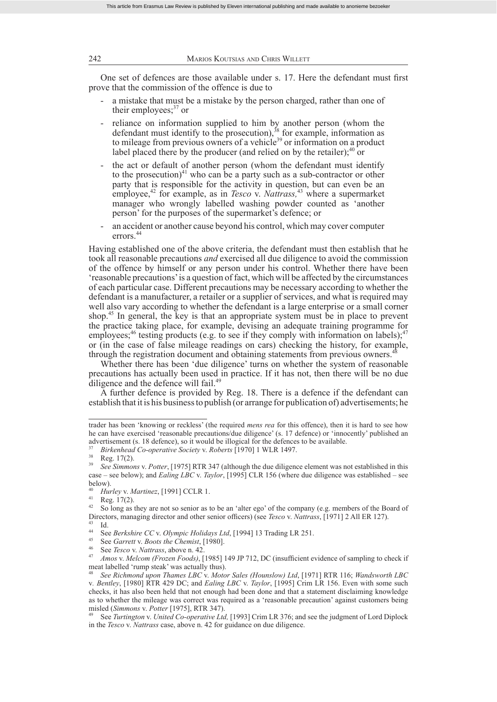One set of defences are those available under s. 17. Here the defendant must first prove that the commission of the offence is due to

- a mistake that must be a mistake by the person charged, rather than one of their employees; $37$  or
- reliance on information supplied to him by another person (whom the defendant must identify to the prosecution),  $38$  for example, information as to mileage from previous owners of a vehicle<sup>39</sup> or information on a product label placed there by the producer (and relied on by the retailer); $40$  or
- the act or default of another person (whom the defendant must identify to the prosecution)<sup>41</sup> who can be a party such as a sub-contractor or other party that is responsible for the activity in question, but can even be an employee,42 for example, as in *Tesco* v. *Nattrass,*43 where a supermarket manager who wrongly labelled washing powder counted as 'another person' for the purposes of the supermarket's defence; or
- an accident or another cause beyond his control, which may cover computer errors.44

Having established one of the above criteria, the defendant must then establish that he took all reasonable precautions *and* exercised all due diligence to avoid the commission of the offence by himself or any person under his control. Whether there have been 'reasonable precautions' is a question of fact, which will be affected by the circumstances of each particular case. Different precautions may be necessary according to whether the defendant is a manufacturer, a retailer or a supplier of services, and what is required may well also vary according to whether the defendant is a large enterprise or a small corner shop.45 In general, the key is that an appropriate system must be in place to prevent the practice taking place, for example, devising an adequate training programme for employees;<sup>46</sup> testing products (e.g. to see if they comply with information on labels);<sup>47</sup> or (in the case of false mileage readings on cars) checking the history, for example, through the registration document and obtaining statements from previous owners.<sup>48</sup>

Whether there has been 'due diligence' turns on whether the system of reasonable precautions has actually been used in practice. If it has not, then there will be no due diligence and the defence will fail.<sup>49</sup>

A further defence is provided by Reg. 18. There is a defence if the defendant can establish that it is his business to publish (or arrange for publication of) advertisements; he

trader has been 'knowing or reckless' (the required *mens rea* for this offence), then it is hard to see how he can have exercised 'reasonable precautions/due diligence' (s. 17 defence) or 'innocently' published an advertisement (s. 18 defence), so it would be illogical for the defences to be available.

<sup>37</sup> *Birkenhead Co-operative Society* v. *Roberts* [1970] 1 WLR 1497.

Reg. 17(2).

<sup>39</sup> *See Simmons* v. *Potter*, [1975] RTR 347 (although the due diligence element was not established in this case – see below); and *Ealing LBC* v. *Taylor*, [1995] CLR 156 (where due diligence was established – see below).

<sup>40</sup> *Hurley* v. *Martinez*, [1991] CCLR 1.

<sup>&</sup>lt;sup>41</sup> Reg. 17(2).

So long as they are not so senior as to be an 'alter ego' of the company (e.g. members of the Board of Directors, managing director and other senior officers) (see *Tesco* v. *Nattrass*, [1971] 2 All ER 127).

 $\frac{43}{44}$  Id. <sup>44</sup> See *Berkshire CC* v. *Olympic Holidays Ltd*, [1994] 13 Trading LR 251.

<sup>45</sup> See *Garrett* v. *Boots the Chemist*, [1980].

<sup>46</sup> See *Tesco* v. *Nattrass*, above n. 42.

<sup>47</sup> *Amos* v. *Melcom (Frozen Foods)*, [1985] 149 JP 712, DC (insufficient evidence of sampling to check if meat labelled 'rump steak' was actually thus).

<sup>48</sup> *See Richmond upon Thames LBC* v. *Motor Sales (Hounslow) Ltd*, [1971] RTR 116; *Wandsworth LBC*  v*. Bentley*, [1980] RTR 429 DC; and *Ealing LBC* v. *Taylor*, [1995] Crim LR 156. Even with some such checks, it has also been held that not enough had been done and that a statement disclaiming knowledge as to whether the mileage was correct was required as a 'reasonable precaution' against customers being misled (*Simmons* v. *Potter* [1975], RTR 347).

<sup>49</sup> See *Turtington* v. *United Co-operative Ltd,* [1993] Crim LR 376; and see the judgment of Lord Diplock in the *Tesco* v. *Nattrass* case, above n. 42 for guidance on due diligence.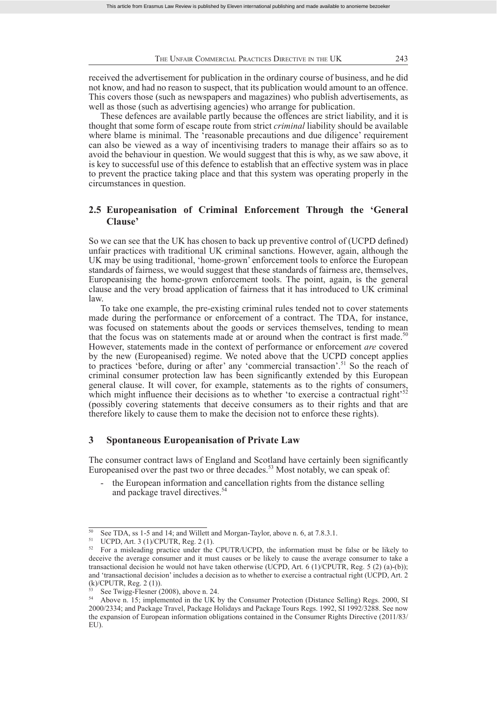received the advertisement for publication in the ordinary course of business, and he did not know, and had no reason to suspect, that its publication would amount to an offence. This covers those (such as newspapers and magazines) who publish advertisements, as well as those (such as advertising agencies) who arrange for publication.

These defences are available partly because the offences are strict liability, and it is thought that some form of escape route from strict *criminal* liability should be available where blame is minimal. The 'reasonable precautions and due diligence' requirement can also be viewed as a way of incentivising traders to manage their affairs so as to avoid the behaviour in question. We would suggest that this is why, as we saw above, it is key to successful use of this defence to establish that an effective system was in place to prevent the practice taking place and that this system was operating properly in the circumstances in question.

## **2.5 Europeanisation of Criminal Enforcement Through the 'General Clause'**

So we can see that the UK has chosen to back up preventive control of (UCPD defined) unfair practices with traditional UK criminal sanctions. However, again, although the UK may be using traditional, 'home-grown' enforcement tools to enforce the European standards of fairness, we would suggest that these standards of fairness are, themselves, Europeanising the home-grown enforcement tools. The point, again, is the general clause and the very broad application of fairness that it has introduced to UK criminal law.

To take one example, the pre-existing criminal rules tended not to cover statements made during the performance or enforcement of a contract. The TDA, for instance, was focused on statements about the goods or services themselves, tending to mean that the focus was on statements made at or around when the contract is first made.<sup>50</sup> However, statements made in the context of performance or enforcement *are* covered by the new (Europeanised) regime. We noted above that the UCPD concept applies to practices 'before, during or after' any 'commercial transaction'.51 So the reach of criminal consumer protection law has been significantly extended by this European general clause. It will cover, for example, statements as to the rights of consumers, which might influence their decisions as to whether 'to exercise a contractual right'<sup>52</sup> (possibly covering statements that deceive consumers as to their rights and that are therefore likely to cause them to make the decision not to enforce these rights).

#### **3 Spontaneous Europeanisation of Private Law**

The consumer contract laws of England and Scotland have certainly been significantly Europeanised over the past two or three decades.<sup>53</sup> Most notably, we can speak of:

the European information and cancellation rights from the distance selling and package travel directives.<sup>54</sup>

<sup>&</sup>lt;sup>50</sup> See TDA, ss 1-5 and 14; and Willett and Morgan-Taylor, above n. 6, at 7.8.3.1.

<sup>&</sup>lt;sup>51</sup> UCPD, Art. 3 (1)/CPUTR, Reg. 2 (1).

<sup>52</sup> For a misleading practice under the CPUTR/UCPD, the information must be false or be likely to deceive the average consumer and it must causes or be likely to cause the average consumer to take a transactional decision he would not have taken otherwise (UCPD, Art. 6 (1)/CPUTR, Reg. 5 (2) (a)-(b)); and 'transactional decision' includes a decision as to whether to exercise a contractual right (UCPD, Art. 2 (k)/CPUTR, Reg. 2 (1)).

<sup>&</sup>lt;sup>53</sup> See Twigg-Flesner (2008), above n. 24.<br> $\frac{54}{2}$ , Above n. 15; implemented in the UV h

<sup>54</sup> Above n. 15; implemented in the UK by the Consumer Protection (Distance Selling) Regs. 2000, SI 2000/2334; and Package Travel, Package Holidays and Package Tours Regs. 1992, SI 1992/3288. See now the expansion of European information obligations contained in the Consumer Rights Directive (2011/83/ EU).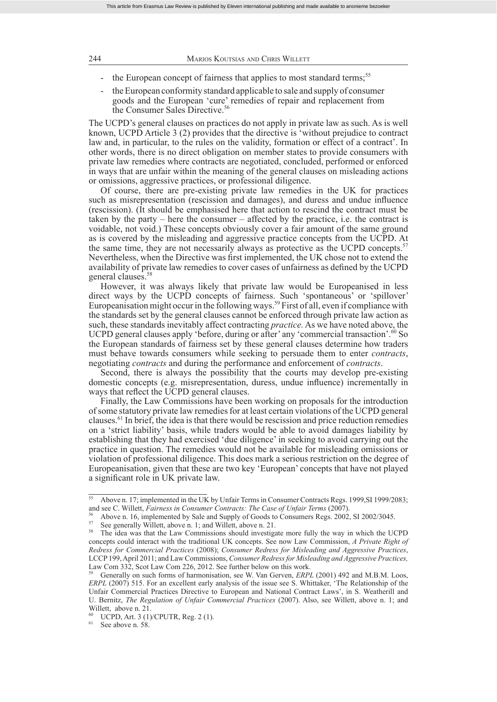- the European concept of fairness that applies to most standard terms;<sup>55</sup>
- the European conformity standard applicable to sale and supply of consumer goods and the European 'cure' remedies of repair and replacement from the Consumer Sales Directive.<sup>5</sup>

The UCPD's general clauses on practices do not apply in private law as such. As is well known, UCPD Article 3 (2) provides that the directive is 'without prejudice to contract law and, in particular, to the rules on the validity, formation or effect of a contract'. In other words, there is no direct obligation on member states to provide consumers with private law remedies where contracts are negotiated, concluded, performed or enforced in ways that are unfair within the meaning of the general clauses on misleading actions or omissions, aggressive practices, or professional diligence.

Of course, there are pre-existing private law remedies in the UK for practices such as misrepresentation (rescission and damages), and duress and undue influence (rescission). (It should be emphasised here that action to rescind the contract must be taken by the party – here the consumer – affected by the practice, i.e. the contract is voidable, not void.) These concepts obviously cover a fair amount of the same ground as is covered by the misleading and aggressive practice concepts from the UCPD. At the same time, they are not necessarily always as protective as the UCPD concepts.<sup>57</sup> Nevertheless, when the Directive was first implemented, the UK chose not to extend the availability of private law remedies to cover cases of unfairness as defined by the UCPD general clauses.58

However, it was always likely that private law would be Europeanised in less direct ways by the UCPD concepts of fairness. Such 'spontaneous' or 'spillover' Europeanisation might occur in the following ways.<sup>59</sup> First of all, even if compliance with the standards set by the general clauses cannot be enforced through private law action as such, these standards inevitably affect contracting *practice.* As we have noted above, the UCPD general clauses apply 'before, during or after' any 'commercial transaction'.<sup>60</sup> So the European standards of fairness set by these general clauses determine how traders must behave towards consumers while seeking to persuade them to enter *contracts*, negotiating *contracts* and during the performance and enforcement of *contracts*.

Second, there is always the possibility that the courts may develop pre-existing domestic concepts (e.g. misrepresentation, duress, undue influence) incrementally in ways that reflect the UCPD general clauses.

Finally, the Law Commissions have been working on proposals for the introduction of some statutory private law remedies for at least certain violations of the UCPD general clauses.<sup>61</sup> In brief, the idea is that there would be rescission and price reduction remedies on a 'strict liability' basis, while traders would be able to avoid damages liability by establishing that they had exercised 'due diligence' in seeking to avoid carrying out the practice in question. The remedies would not be available for misleading omissions or violation of professional diligence. This does mark a serious restriction on the degree of Europeanisation, given that these are two key 'European' concepts that have not played a significant role in UK private law.

 $\frac{55}{55}$  Above n. 17; implemented in the UK by Unfair Terms in Consumer Contracts Regs. 1999, SI 1999/2083; and see C. Willett, *Fairness in Consumer Contracts: The Case of Unfair Terms* (2007).

 $^{56}$  Above n. 16, implemented by Sale and Supply of Goods to Consumers Regs. 2002, SI 2002/3045.

See generally Willett, above n. 1; and Willett, above n. 21.

<sup>58</sup> The idea was that the Law Commissions should investigate more fully the way in which the UCPD concepts could interact with the traditional UK concepts. See now Law Commission, *A Private Right of Redress for Commercial Practices* (2008); *Consumer Redress for Misleading and Aggressive Practices*, LCCP 199, April 2011; and Law Commissions, *Consumer Redress for Misleading and Aggressive Practices,*  Law Com 332, Scot Law Com 226, 2012. See further below on this work.

<sup>59</sup> Generally on such forms of harmonisation, see W. Van Gerven, *ERPL* (2001) 492 and M.B.M. Loos, *ERPL* (2007) 515. For an excellent early analysis of the issue see S. Whittaker, 'The Relationship of the Unfair Commercial Practices Directive to European and National Contract Laws', in S. Weatherill and U. Bernitz, *The Regulation of Unfair Commercial Practices* (2007). Also, see Willett, above n. 1; and Willett, above n. 21.

<sup>60</sup> UCPD, Art. 3 (1)/CPUTR, Reg. 2 (1).

 $61$  See above n. 58.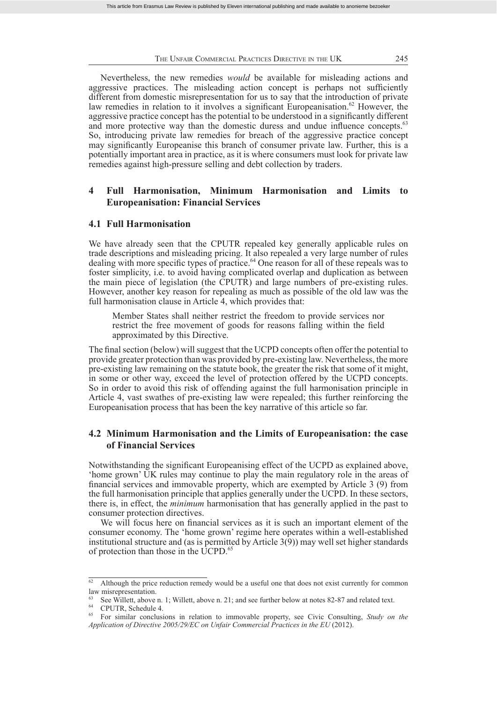Nevertheless, the new remedies *would* be available for misleading actions and aggressive practices. The misleading action concept is perhaps not sufficiently different from domestic misrepresentation for us to say that the introduction of private law remedies in relation to it involves a significant Europeanisation.<sup>62</sup> However, the aggressive practice concept has the potential to be understood in a significantly different and more protective way than the domestic duress and undue influence concepts.<sup>63</sup> So, introducing private law remedies for breach of the aggressive practice concept may significantly Europeanise this branch of consumer private law. Further, this is a potentially important area in practice, as it is where consumers must look for private law remedies against high-pressure selling and debt collection by traders.

# **4 Full Harmonisation, Minimum Harmonisation and Limits to Europeanisation: Financial Services**

#### **4.1 Full Harmonisation**

We have already seen that the CPUTR repealed key generally applicable rules on trade descriptions and misleading pricing. It also repealed a very large number of rules dealing with more specific types of practice.<sup>64</sup> One reason for all of these repeals was to foster simplicity, i.e. to avoid having complicated overlap and duplication as between the main piece of legislation (the CPUTR) and large numbers of pre-existing rules. However, another key reason for repealing as much as possible of the old law was the full harmonisation clause in Article 4, which provides that:

Member States shall neither restrict the freedom to provide services nor restrict the free movement of goods for reasons falling within the field approximated by this Directive.

The final section (below) will suggest that the UCPD concepts often offer the potential to provide greater protection than was provided by pre-existing law. Nevertheless, the more pre-existing law remaining on the statute book, the greater the risk that some of it might, in some or other way, exceed the level of protection offered by the UCPD concepts. So in order to avoid this risk of offending against the full harmonisation principle in Article 4, vast swathes of pre-existing law were repealed; this further reinforcing the Europeanisation process that has been the key narrative of this article so far.

# **4.2 Minimum Harmonisation and the Limits of Europeanisation: the case of Financial Services**

Notwithstanding the significant Europeanising effect of the UCPD as explained above, 'home grown' UK rules may continue to play the main regulatory role in the areas of financial services and immovable property, which are exempted by Article 3 (9) from the full harmonisation principle that applies generally under the UCPD. In these sectors, there is, in effect, the *minimum* harmonisation that has generally applied in the past to consumer protection directives.

We will focus here on financial services as it is such an important element of the consumer economy. The 'home grown' regime here operates within a well-established institutional structure and (as is permitted by Article  $3(9)$ ) may well set higher standards of protection than those in the UCPD.<sup>65</sup>

 $\overline{62}$  Although the price reduction remedy would be a useful one that does not exist currently for common law misrepresentation.

See Willett, above n. 1; Willett, above n. 21; and see further below at notes 82-87 and related text.

<sup>64</sup> CPUTR, Schedule 4.

<sup>65</sup> For similar conclusions in relation to immovable property, see Civic Consulting, *Study on the Application of Directive 2005/29/EC on Unfair Commercial Practices in the EU* (2012).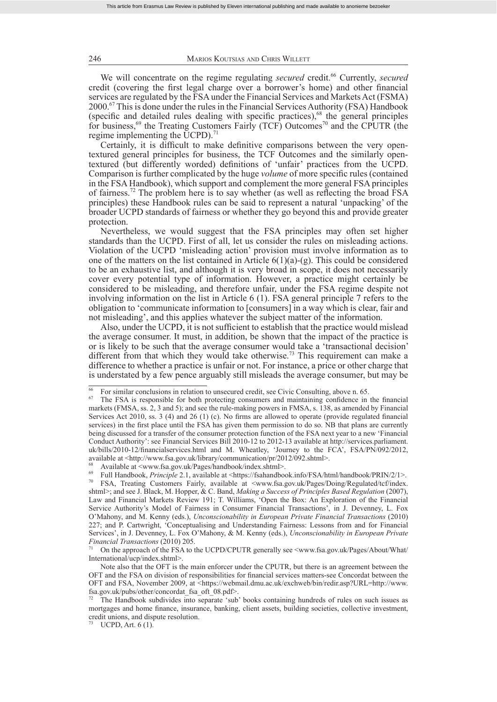We will concentrate on the regime regulating *secured* credit.<sup>66</sup> Currently, *secured* credit (covering the first legal charge over a borrower's home) and other financial services are regulated by the FSA under the Financial Services and Markets Act (FSMA) 2000.67 This is done under the rules in the Financial Services Authority (FSA) Handbook (specific and detailed rules dealing with specific practices), $68$  the general principles for business, $69$  the Treating Customers Fairly (TCF) Outcomes<sup>70</sup> and the CPUTR (the regime implementing the  $\text{UCPD}$ .<sup>71</sup>

Certainly, it is difficult to make definitive comparisons between the very opentextured general principles for business, the TCF Outcomes and the similarly opentextured (but differently worded) definitions of 'unfair' practices from the UCPD. Comparison is further complicated by the huge *volume* of more specific rules (contained in the FSA Handbook), which support and complement the more general FSA principles of fairness.<sup>72</sup> The problem here is to say whether (as well as reflecting the broad  $\hat{F}SA$ principles) these Handbook rules can be said to represent a natural 'unpacking' of the broader UCPD standards of fairness or whether they go beyond this and provide greater protection.

Nevertheless, we would suggest that the FSA principles may often set higher standards than the UCPD. First of all, let us consider the rules on misleading actions. Violation of the UCPD 'misleading action' provision must involve information as to one of the matters on the list contained in Article  $6(1)(a)-(g)$ . This could be considered to be an exhaustive list, and although it is very broad in scope, it does not necessarily cover every potential type of information. However, a practice might certainly be considered to be misleading, and therefore unfair, under the FSA regime despite not involving information on the list in Article 6 (1). FSA general principle 7 refers to the obligation to 'communicate information to [consumers] in a way which is clear, fair and not misleading', and this applies whatever the subject matter of the information.

Also, under the UCPD, it is not sufficient to establish that the practice would mislead the average consumer. It must, in addition, be shown that the impact of the practice is or is likely to be such that the average consumer would take a 'transactional decision' different from that which they would take otherwise.<sup>73</sup> This requirement can make a difference to whether a practice is unfair or not. For instance, a price or other charge that is understated by a few pence arguably still misleads the average consumer, but may be

UCPD, Art.  $6 (1)$ .

<sup>&</sup>lt;sup>66</sup> For similar conclusions in relation to unsecured credit, see Civic Consulting, above n. 65.<br><sup>67</sup> The ESA is reproprible for both protecting consumers and maintaining confidence in

The FSA is responsible for both protecting consumers and maintaining confidence in the financial markets (FMSA, ss. 2, 3 and 5); and see the rule-making powers in FMSA, s. 138, as amended by Financial Services Act 2010, ss. 3 (4) and 26 (1) (c). No firms are allowed to operate (provide regulated financial services) in the first place until the FSA has given them permission to do so. NB that plans are currently being discussed for a transfer of the consumer protection function of the FSA next year to a new 'Financial Conduct Authority': see Financial Services Bill 2010-12 to 2012-13 available at [http://services.parliament.](http://services.parliament.uk/bills/2010-12/financialservices.html) [uk/bills/2010-12/financialservices.html](http://services.parliament.uk/bills/2010-12/financialservices.html) and M. Wheatley, 'Journey to the FCA', FSA/PN/092/2012, available at <<http://www.fsa.gov.uk/library/communication/pr/2012/092.shtml>>.

Available at [<www.fsa.gov.uk/Pages/handbook/index.shtml](http://www.fsa.gov.uk/Pages/handbook/index.shtml)>.

<sup>69</sup> Full Handbook, *Principle* 2.1, available at [<https://fsahandbook.info/FSA/html/handbook/PRIN/2/1](https://fsahandbook.info/FSA/html/handbook/PRIN/2/1)>.

FSA, Treating Customers Fairly, available at [<www.fsa.gov.uk/Pages/Doing/Regulated/tcf/index.](http://www.fsa.gov.uk/Pages/Doing/Regulated/tcf/index.shtml) [shtml](http://www.fsa.gov.uk/Pages/Doing/Regulated/tcf/index.shtml)>; and see J. Black, M. Hopper, & C. Band, *Making a Success of Principles Based Regulation* (2007), Law and Financial Markets Review 191; T. Williams, 'Open the Box: An Exploration of the Financial Service Authority's Model of Fairness in Consumer Financial Transactions', in J. Devenney, L. Fox O'Mahony, and M. Kenny (eds.), *Unconscionability in European Private Financial Transactions* (2010) 227; and P. Cartwright, 'Conceptualising and Understanding Fairness: Lessons from and for Financial Services', in J. Devenney, L. Fox O'Mahony, & M. Kenny (eds.), *Unconscionability in European Private Financial Transactions* (2010) 205.

On the approach of the FSA to the UCPD/CPUTR generally see [<www.fsa.gov.uk/Pages/About/What/](http://www.fsa.gov.uk/Pages/About/What/International/ucp/index.shtml) [International/ucp/index.shtml>](http://www.fsa.gov.uk/Pages/About/What/International/ucp/index.shtml).

Note also that the OFT is the main enforcer under the CPUTR, but there is an agreement between the OFT and the FSA on division of responsibilities for financial services matters-see Concordat between the OFT and FSA, November 2009, at <[https://webmail.dmu.ac.uk/exchweb/bin/redir.asp?URL=http://www.](https://webmail.dmu.ac.uk/exchweb/bin/redir.asp?URL=http://www.fsa.gov.uk/pubs/other/concordat_fsa_oft_08.pdf) [fsa.gov.uk/pubs/other/concordat\\_fsa\\_oft\\_08.pdf>](https://webmail.dmu.ac.uk/exchweb/bin/redir.asp?URL=http://www.fsa.gov.uk/pubs/other/concordat_fsa_oft_08.pdf).

<sup>72</sup> The Handbook subdivides into separate 'sub' books containing hundreds of rules on such issues as mortgages and home finance, insurance, banking, client assets, building societies, collective investment, credit unions, and dispute resolution.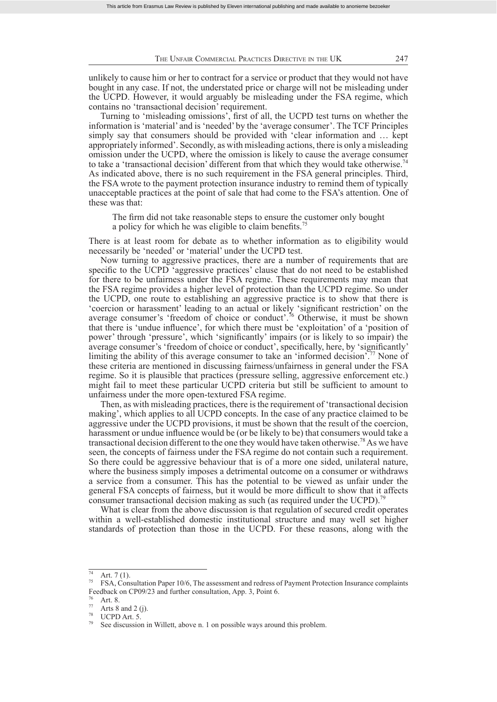unlikely to cause him or her to contract for a service or product that they would not have bought in any case. If not, the understated price or charge will not be misleading under the UCPD. However, it would arguably be misleading under the FSA regime, which contains no 'transactional decision' requirement.

Turning to 'misleading omissions', first of all, the UCPD test turns on whether the information is 'material' and is 'needed' by the 'average consumer'. The TCF Principles simply say that consumers should be provided with 'clear information and … kept appropriately informed'. Secondly, as with misleading actions, there is only a misleading omission under the UCPD, where the omission is likely to cause the average consumer to take a 'transactional decision' different from that which they would take otherwise.<sup>74</sup> As indicated above, there is no such requirement in the FSA general principles. Third, the FSA wrote to the payment protection insurance industry to remind them of typically unacceptable practices at the point of sale that had come to the FSA's attention. One of these was that:

The firm did not take reasonable steps to ensure the customer only bought a policy for which he was eligible to claim benefits.<sup>75</sup>

There is at least room for debate as to whether information as to eligibility would necessarily be 'needed' or 'material' under the UCPD test.

Now turning to aggressive practices, there are a number of requirements that are specific to the UCPD 'aggressive practices' clause that do not need to be established for there to be unfairness under the FSA regime. These requirements may mean that the FSA regime provides a higher level of protection than the UCPD regime. So under the UCPD, one route to establishing an aggressive practice is to show that there is 'coercion or harassment' leading to an actual or likely 'significant restriction' on the average consumer's 'freedom of choice or conduct'.76 Otherwise, it must be shown that there is 'undue influence', for which there must be 'exploitation' of a 'position of power' through 'pressure', which 'significantly' impairs (or is likely to so impair) the average consumer's 'freedom of choice or conduct', specifically, here, by 'significantly' limiting the ability of this average consumer to take an 'informed decision'.77 None of these criteria are mentioned in discussing fairness/unfairness in general under the FSA regime. So it is plausible that practices (pressure selling, aggressive enforcement etc.) might fail to meet these particular UCPD criteria but still be sufficient to amount to unfairness under the more open-textured FSA regime.

Then, as with misleading practices, there is the requirement of 'transactional decision making', which applies to all UCPD concepts. In the case of any practice claimed to be aggressive under the UCPD provisions, it must be shown that the result of the coercion, harassment or undue influence would be (or be likely to be) that consumers would take a transactional decision different to the one they would have taken otherwise.78 As we have seen, the concepts of fairness under the FSA regime do not contain such a requirement. So there could be aggressive behaviour that is of a more one sided, unilateral nature, where the business simply imposes a detrimental outcome on a consumer or withdraws a service from a consumer. This has the potential to be viewed as unfair under the general FSA concepts of fairness, but it would be more difficult to show that it affects consumer transactional decision making as such (as required under the UCPD).<sup>7</sup>

What is clear from the above discussion is that regulation of secured credit operates within a well-established domestic institutional structure and may well set higher standards of protection than those in the UCPD. For these reasons, along with the

 $\frac{74}{75}$  Art. 7 (1).

<sup>75</sup> FSA, Consultation Paper 10/6, The assessment and redress of Payment Protection Insurance complaints Feedback on CP09/23 and further consultation, App. 3, Point 6.

 $\frac{76}{77}$  Art. 8.

Arts  $8$  and  $2$  (j).

 $^{78}$  UCPD Art. 5.

See discussion in Willett, above n. 1 on possible ways around this problem.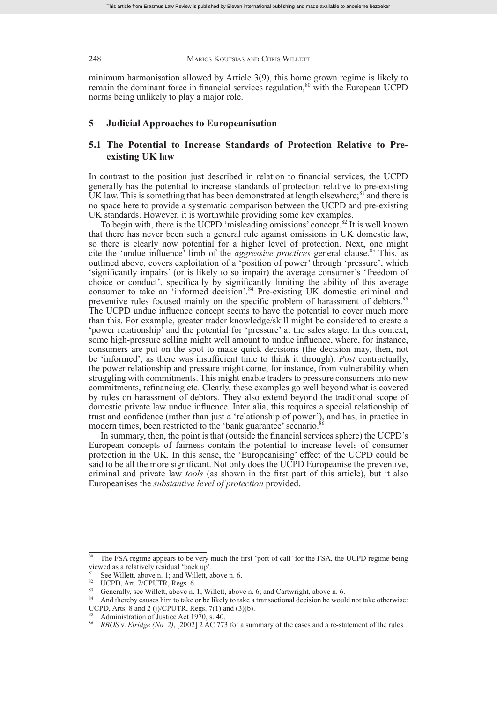minimum harmonisation allowed by Article 3(9), this home grown regime is likely to remain the dominant force in financial services regulation,  $80$  with the European UCPD norms being unlikely to play a major role.

## **5 Judicial Approaches to Europeanisation**

## **5.1 The Potential to Increase Standards of Protection Relative to Preexisting UK law**

In contrast to the position just described in relation to financial services, the UCPD generally has the potential to increase standards of protection relative to pre-existing UK law. This is something that has been demonstrated at length elsewhere; $81$  and there is no space here to provide a systematic comparison between the UCPD and pre-existing UK standards. However, it is worthwhile providing some key examples.

To begin with, there is the UCPD 'misleading omissions' concept.<sup>82</sup> It is well known that there has never been such a general rule against omissions in UK domestic law, so there is clearly now potential for a higher level of protection. Next, one might cite the 'undue influence' limb of the *aggressive practices* general clause.<sup>83</sup> This, as outlined above, covers exploitation of a 'position of power' through 'pressure', which 'significantly impairs' (or is likely to so impair) the average consumer's 'freedom of choice or conduct', specifically by significantly limiting the ability of this average consumer to take an 'informed decision'.84 Pre-existing UK domestic criminal and preventive rules focused mainly on the specific problem of harassment of debtors.<sup>85</sup> The UCPD undue influence concept seems to have the potential to cover much more than this. For example, greater trader knowledge/skill might be considered to create a 'power relationship' and the potential for 'pressure' at the sales stage. In this context, some high-pressure selling might well amount to undue influence, where, for instance, consumers are put on the spot to make quick decisions (the decision may, then, not be 'informed', as there was insufficient time to think it through). *Post* contractually, the power relationship and pressure might come, for instance, from vulnerability when struggling with commitments. This might enable traders to pressure consumers into new commitments, refinancing etc. Clearly, these examples go well beyond what is covered by rules on harassment of debtors. They also extend beyond the traditional scope of domestic private law undue influence. Inter alia, this requires a special relationship of trust and confidence (rather than just a 'relationship of power'), and has, in practice in modern times, been restricted to the 'bank guarantee' scenario.<sup>86</sup>

In summary, then, the point is that (outside the financial services sphere) the UCPD's European concepts of fairness contain the potential to increase levels of consumer protection in the UK. In this sense, the 'Europeanising' effect of the UCPD could be said to be all the more significant. Not only does the UCPD Europeanise the preventive, criminal and private law *tools* (as shown in the first part of this article), but it also Europeanises the *substantive level of protection* provided.

<sup>&</sup>lt;sup>80</sup> The FSA regime appears to be very much the first 'port of call' for the FSA, the UCPD regime being viewed as a relatively residual 'back up'.

See Willett, above n. 1; and Willett, above n. 6.

<sup>82</sup> UCPD, Art. 7/CPUTR, Regs. 6.

 $\frac{83}{200}$  Generally, see Willett, above n. 1; Willett, above n. 6; and Cartwright, above n. 6.

<sup>84</sup> And thereby causes him to take or be likely to take a transactional decision he would not take otherwise: UCPD, Arts. 8 and 2 (j)/CPUTR, Regs.  $7(1)$  and  $(3)(b)$ .

Administration of Justice Act 1970, s. 40.

<sup>86</sup> *RBOS* v. *Etridge (No. 2)*, [2002] 2 AC 773 for a summary of the cases and a re-statement of the rules.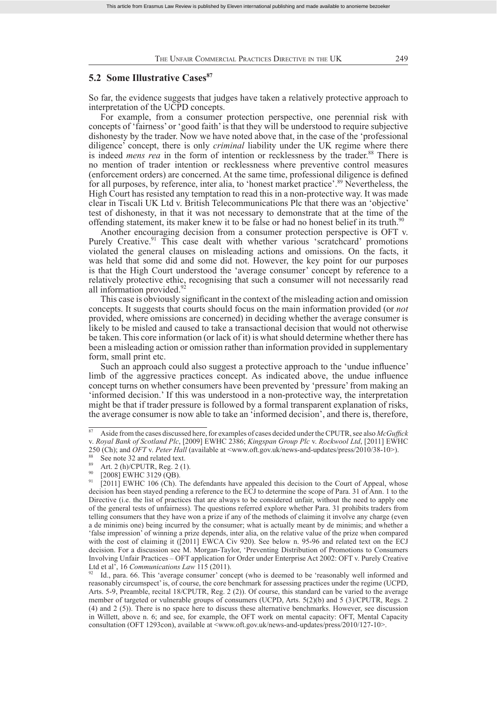## **5.2 Some Illustrative Cases**<sup>87</sup>

So far, the evidence suggests that judges have taken a relatively protective approach to interpretation of the UCPD concepts.

For example, from a consumer protection perspective, one perennial risk with concepts of 'fairness' or 'good faith' is that they will be understood to require subjective dishonesty by the trader. Now we have noted above that, in the case of the 'professional diligence' concept, there is only *criminal* liability under the UK regime where there is indeed *mens rea* in the form of intention or recklessness by the trader.<sup>88</sup> There is no mention of trader intention or recklessness where preventive control measures (enforcement orders) are concerned. At the same time, professional diligence is defined for all purposes, by reference, inter alia, to 'honest market practice'.<sup>89</sup> Nevertheless, the High Court has resisted any temptation to read this in a non-protective way. It was made clear in Tiscali UK Ltd v. British Telecommunications Plc that there was an 'objective' test of dishonesty, in that it was not necessary to demonstrate that at the time of the offending statement, its maker knew it to be false or had no honest belief in its truth.<sup>90</sup>

Another encouraging decision from a consumer protection perspective is OFT v. Purely Creative.<sup>91</sup> This case dealt with whether various 'scratchcard' promotions violated the general clauses on misleading actions and omissions. On the facts, it was held that some did and some did not. However, the key point for our purposes is that the High Court understood the 'average consumer' concept by reference to a relatively protective ethic, recognising that such a consumer will not necessarily read all information provided.<sup>92</sup>

This case is obviously significant in the context of the misleading action and omission concepts. It suggests that courts should focus on the main information provided (or *not* provided, where omissions are concerned) in deciding whether the average consumer is likely to be misled and caused to take a transactional decision that would not otherwise be taken. This core information (or lack of it) is what should determine whether there has been a misleading action or omission rather than information provided in supplementary form, small print etc.

Such an approach could also suggest a protective approach to the 'undue influence' limb of the aggressive practices concept. As indicated above, the undue influence concept turns on whether consumers have been prevented by 'pressure' from making an 'informed decision.' If this was understood in a non-protective way, the interpretation might be that if trader pressure is followed by a formal transparent explanation of risks, the average consumer is now able to take an 'informed decision', and there is, therefore,

<sup>87</sup> Aside from the cases discussed here, for examples of cases decided under the CPUTR, see also *McGuffick* v. *Royal Bank of Scotland Plc*, [2009] EWHC 2386; *Kingspan Group Plc* v. *Rockwool Ltd*, [2011] EWHC 250 (Ch); and *OFT* v. *Peter Hall* (available at [<www.oft.gov.uk/news-and-updates/press/2010/38-10>](http://www.oft.gov.uk/news-and-updates/press/2010/38-10)).

<sup>&</sup>lt;sup>88</sup> See note 32 and related text.

Art. 2 (h)/CPUTR, Reg. 2 (1).

 $^{90}$  [2008] EWHC 3129 (QB).

 $[2011]$  EWHC 106 (Ch). The defendants have appealed this decision to the Court of Appeal, whose decision has been stayed pending a reference to the ECJ to determine the scope of Para. 31 of Ann. 1 to the Directive (i.e. the list of practices that are always to be considered unfair, without the need to apply one of the general tests of unfairness). The questions referred explore whether Para. 31 prohibits traders from telling consumers that they have won a prize if any of the methods of claiming it involve any charge (even a de minimis one) being incurred by the consumer; what is actually meant by de minimis; and whether a 'false impression' of winning a prize depends, inter alia, on the relative value of the prize when compared with the cost of claiming it ([2011] EWCA Civ 920). See below n. 95-96 and related text on the ECJ decision. For a discussion see M. Morgan-Taylor, 'Preventing Distribution of Promotions to Consumers Involving Unfair Practices – OFT application for Order under Enterprise Act 2002: OFT v. Purely Creative Ltd et al', 16 *Communications Law* 115 (2011).

Id., para. 66. This 'average consumer' concept (who is deemed to be 'reasonably well informed and reasonably circumspect' is, of course, the core benchmark for assessing practices under the regime (UCPD, Arts. 5-9, Preamble, recital 18/CPUTR, Reg. 2 (2)). Of course, this standard can be varied to the average member of targeted or vulnerable groups of consumers (UCPD, Arts. 5(2)(b) and 5 (3)/CPUTR, Regs. 2 (4) and 2 (5)). There is no space here to discuss these alternative benchmarks. However, see discussion in Willett, above n. 6; and see, for example, the OFT work on mental capacity: OFT, Mental Capacity consultation (OFT 1293con), available at [<www.oft.gov.uk/news-and-updates/press/2010/127-10](http://www.oft.gov.uk/news-and-updates/press/2010/127-10)>.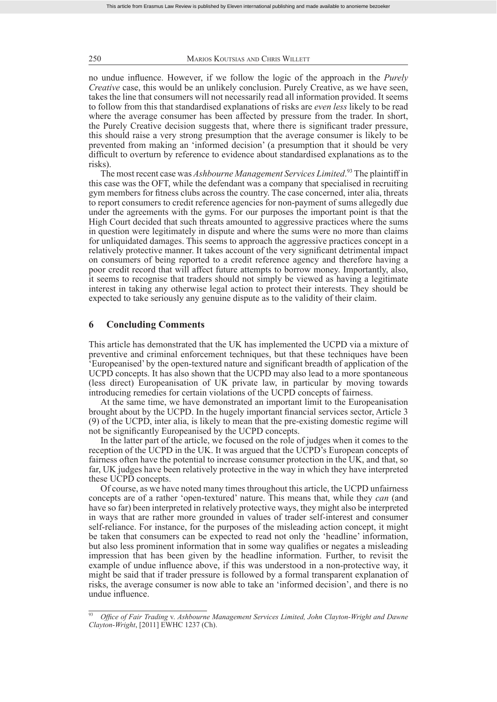no undue influence. However, if we follow the logic of the approach in the *Purely Creative* case, this would be an unlikely conclusion. Purely Creative, as we have seen, takes the line that consumers will not necessarily read all information provided. It seems to follow from this that standardised explanations of risks are *even less* likely to be read where the average consumer has been affected by pressure from the trader. In short, the Purely Creative decision suggests that, where there is significant trader pressure, this should raise a very strong presumption that the average consumer is likely to be prevented from making an 'informed decision' (a presumption that it should be very difficult to overturn by reference to evidence about standardised explanations as to the risks).

The most recent case was *Ashbourne Management Services Limited*. 93 The plaintiff in this case was the OFT, while the defendant was a company that specialised in recruiting gym members for fitness clubs across the country. The case concerned, inter alia, threats to report consumers to credit reference agencies for non-payment of sums allegedly due under the agreements with the gyms. For our purposes the important point is that the High Court decided that such threats amounted to aggressive practices where the sums in question were legitimately in dispute and where the sums were no more than claims for unliquidated damages. This seems to approach the aggressive practices concept in a relatively protective manner. It takes account of the very significant detrimental impact on consumers of being reported to a credit reference agency and therefore having a poor credit record that will affect future attempts to borrow money. Importantly, also, it seems to recognise that traders should not simply be viewed as having a legitimate interest in taking any otherwise legal action to protect their interests. They should be expected to take seriously any genuine dispute as to the validity of their claim.

#### **6 Concluding Comments**

This article has demonstrated that the UK has implemented the UCPD via a mixture of preventive and criminal enforcement techniques, but that these techniques have been 'Europeanised' by the open-textured nature and significant breadth of application of the UCPD concepts. It has also shown that the UCPD may also lead to a more spontaneous (less direct) Europeanisation of UK private law, in particular by moving towards introducing remedies for certain violations of the UCPD concepts of fairness.

At the same time, we have demonstrated an important limit to the Europeanisation brought about by the UCPD. In the hugely important financial services sector, Article 3 (9) of the UCPD, inter alia, is likely to mean that the pre-existing domestic regime will not be significantly Europeanised by the UCPD concepts.

In the latter part of the article, we focused on the role of judges when it comes to the reception of the UCPD in the UK. It was argued that the UCPD's European concepts of fairness often have the potential to increase consumer protection in the UK, and that, so far, UK judges have been relatively protective in the way in which they have interpreted these UCPD concepts.

Of course, as we have noted many times throughout this article, the UCPD unfairness concepts are of a rather 'open-textured' nature. This means that, while they *can* (and have so far) been interpreted in relatively protective ways, they might also be interpreted in ways that are rather more grounded in values of trader self-interest and consumer self-reliance. For instance, for the purposes of the misleading action concept, it might be taken that consumers can be expected to read not only the 'headline' information, but also less prominent information that in some way qualifies or negates a misleading impression that has been given by the headline information. Further, to revisit the example of undue influence above, if this was understood in a non-protective way, it might be said that if trader pressure is followed by a formal transparent explanation of risks, the average consumer is now able to take an 'informed decision', and there is no undue influence.

<sup>93</sup> *Office of Fair Trading* v. *Ashbourne Management Services Limited, John Clayton-Wright and Dawne Clayton-Wright*, [2011] EWHC 1237 (Ch).